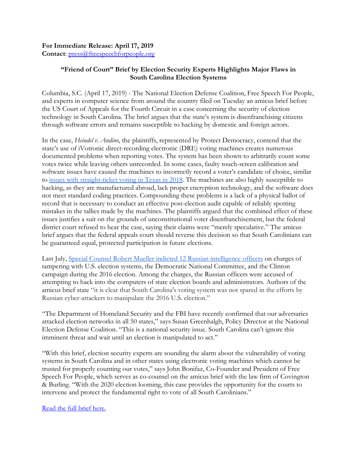## **For Immediate Release: April 17, 2019 Contact**: [press@freespeechforpeople.org](mailto:press@freespeechforpeople.org)

## **"Friend of Court" Brief by Election Security Experts Highlights Major Flaws in South Carolina Election Systems**

Columbia, S.C. (April 17, 2019) - The National Election Defense Coalition, Free Speech For People, and experts in computer science from around the country filed on Tuesday an amicus brief before the US Court of Appeals for the Fourth Circuit in a case concerning the security of election technology in South Carolina. The brief argues that the state's system is disenfranchising citizens through software errors and remains susceptible to hacking by domestic and foreign actors.

In the case, *Heindel v. Andino*, the plaintiffs, represented by Protect Democracy, contend that the state's use of iVotronic direct-recording electronic (DRE) voting machines creates numerous documented problems when reporting votes. The system has been shown to arbitrarily count some votes twice while leaving others unrecorded. In some cases, faulty touch-screen calibration and software issues have caused the machines to incorrectly record a voter's candidate of choice, similar to [issues with straight-ticket voting in Texas in 2018.](https://www.houstonchronicle.com/news/politics/texas/article/Voting-machine-errors-changed-some-Texans-13339298.php) The machines are also highly susceptible to hacking, as they are manufactured abroad, lack proper encryption technology, and the software does not meet standard coding practices. Compounding these problems is a lack of a physical ballot of record that is necessary to conduct an effective post-election audit capable of reliably spotting mistakes in the tallies made by the machines. The plaintiffs argued that the combined effect of these issues justifies a suit on the grounds of unconstitutional voter disenfranchisement, but the federal district court refused to hear the case, saying their claims were "merely speculative." The amicus brief argues that the federal appeals court should reverse this decision so that South Carolinians can be guaranteed equal, protected participation in future elections.

Last July, [Special Counsel Robert Mueller indicted 12 Russian intelligence officers](https://www.nytimes.com/2018/07/13/us/politics/mueller-indictment-russian-intelligence-hacking.html) on charges of tampering with U.S. election systems, the Democratic National Committee, and the Clinton campaign during the 2016 election. Among the charges, the Russian officers were accused of attempting to hack into the computers of state election boards and administrators. Authors of the amicus brief state "it is clear that South Carolina's voting system was not spared in the efforts by Russian cyber-attackers to manipulate the 2016 U.S. election."

"The Department of Homeland Security and the FBI have recently confirmed that our adversaries attacked election networks in all 50 states," says Susan Greenhalgh, Policy Director at the National Election Defense Coalition. "This is a national security issue. South Carolina can't ignore this imminent threat and wait until an election is manipulated to act."

"With this brief, election security experts are sounding the alarm about the vulnerability of voting systems in South Carolina and in other states using electronic voting machines which cannot be trusted for properly counting our votes," says John Bonifaz, Co-Founder and President of Free Speech For People, which serves as co-counsel on the amicus brief with the law firm of Covington & Burling. "With the 2020 election looming, this case provides the opportunity for the courts to intervene and protect the fundamental right to vote of all South Carolinians."

[Read the full brief here.](https://freespeechforpeople.org/wp-content/uploads/2019/04/D.I.-29-1-Amicus-Brief.pdf)